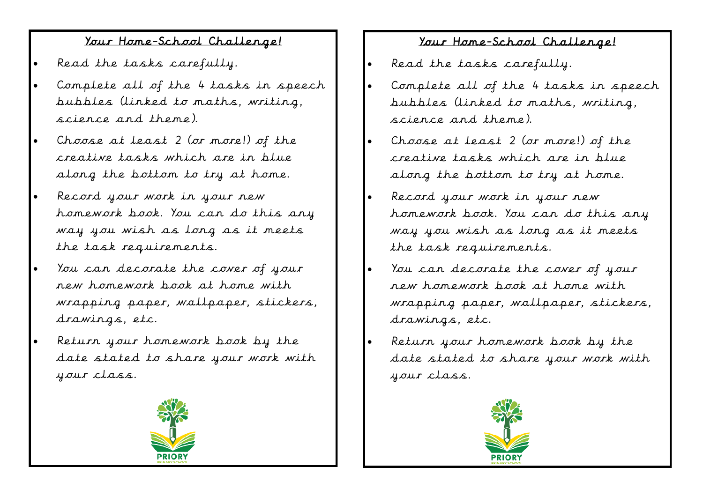# Your Home-School Challenge!

- Read the tasks carefully.
- Complete all of the 4 tasks in speech bubbles (linked to maths, writing, science and theme).
- Choose at least 2 (or more!) of the creative tasks which are in blue along the bottom to try at home.
- Record your work in your new homework book. You can do this any way you wish as long as it meets the task requirements.
- You can decorate the cover of your new homework book at home with wrapping paper, wallpaper, stickers, drawings, etc.
- Return your homework book by the date stated to share your work with your class.



# Your Home-School Challenge!

- Read the tasks carefully.
- Complete all of the 4 tasks in speech bubbles (linked to maths, writing, science and theme).
- Choose at least 2 (or more!) of the creative tasks which are in blue along the bottom to try at home.
- Record your work in your new homework book. You can do this any way you wish as long as it meets the task requirements.
- You can decorate the cover of your new homework book at home with wrapping paper, wallpaper, stickers, drawings, etc.
- Return your homework book by the date stated to share your work with your class.